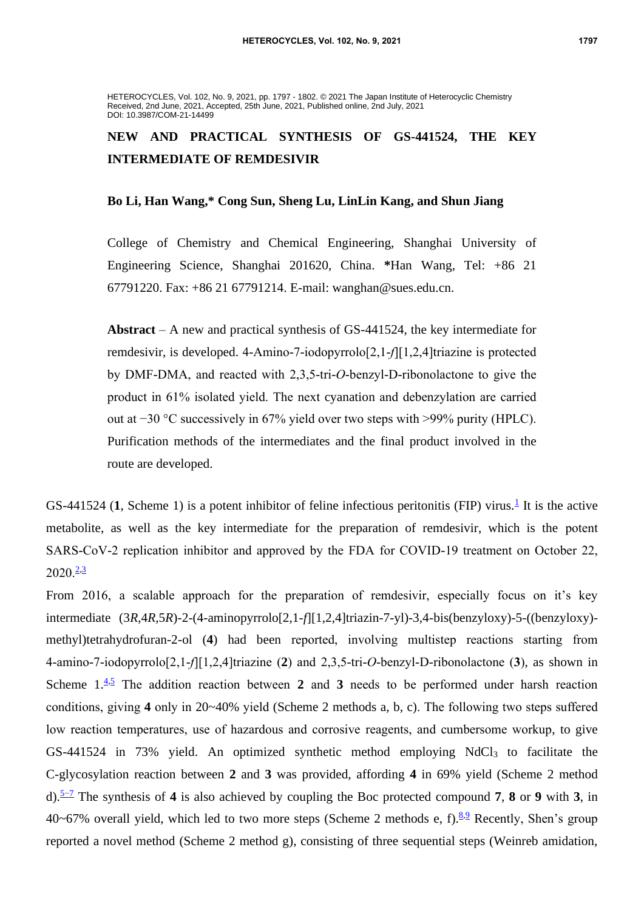HETEROCYCLES, Vol. 102, No. 9, 2021, pp. 1797 - 1802. © 2021 The Japan Institute of Heterocyclic Chemistry Received, 2nd June, 2021, Accepted, 25th June, 2021, Published online, 2nd July, 2021 DOI: 10.3987/COM-21-14499

# **NEW AND PRACTICAL SYNTHESIS OF GS-441524, THE KEY INTERMEDIATE OF REMDESIVIR**

# **Bo Li, Han Wang,\* Cong Sun, Sheng Lu, LinLin Kang, and Shun Jiang**

College of Chemistry and Chemical Engineering, Shanghai University of Engineering Science, Shanghai 201620, China. **\***Han Wang, Tel: +86 21 67791220. Fax: +86 21 67791214. E-mail: wanghan@sues.edu.cn.

**Abstract** – A new and practical synthesis of GS-441524, the key intermediate for remdesivir, is developed. 4-Amino-7-iodopyrrolo[2,1-*f*][1,2,4]triazine is protected by DMF-DMA, and reacted with 2,3,5-tri-*O*-benzyl-D-ribonolactone to give the product in 61% isolated yield. The next cyanation and debenzylation are carried out at −30 °C successively in 67% yield over two steps with >99% purity (HPLC). Purification methods of the intermediates and the final product involved in the route are developed.

GS-44[1](#page-5-0)524 (1, Scheme 1) is a potent inhibitor of feline infectious peritonitis (FIP) virus.<sup>1</sup> It is the active metabolite, as well as the key intermediate for the preparation of remdesivir, which is the potent SARS-CoV-2 replication inhibitor and approved by the FDA for COVID-19 treatment on October 22,  $2020.23$  $2020.23$ 

From 2016, a scalable approach for the preparation of remdesivir, especially focus on it's key intermediate (3*R*,4*R*,5*R*)-2-(4-aminopyrrolo[2,1-*f*][1,2,4]triazin-7-yl)-3,4-bis(benzyloxy)-5-((benzyloxy) methyl)tetrahydrofuran-2-ol (**4**) had been reported, involving multistep reactions starting from 4-amino-7-iodopyrrolo[2,1-*f*][1,2,4]triazine (**2**) and 2,3,5-tri-*O*-benzyl-D-ribonolactone (**3**), as shown in Scheme  $1.\overline{4.5}$  $1.\overline{4.5}$  $1.\overline{4.5}$  The addition reaction between 2 and 3 needs to be performed under harsh reaction conditions, giving **4** only in 20~40% yield (Scheme 2 methods a, b, c). The following two steps suffered low reaction temperatures, use of hazardous and corrosive reagents, and cumbersome workup, to give GS-441524 in 73% yield. An optimized synthetic method employing  $NdCl<sub>3</sub>$  to facilitate the C-glycosylation reaction between **2** and **3** was provided, affording **4** in 69% yield (Scheme 2 method d).[5−7](#page-5-4) The synthesis of **4** is also achieved by coupling the Boc protected compound **7**, **8** or **9** with **3**, in 40~67% overall yield, which led to two more steps (Scheme 2 methods e, f).  $8.9$  $8.9$  Recently, Shen's group reported a novel method (Scheme 2 method g), consisting of three sequential steps (Weinreb amidation,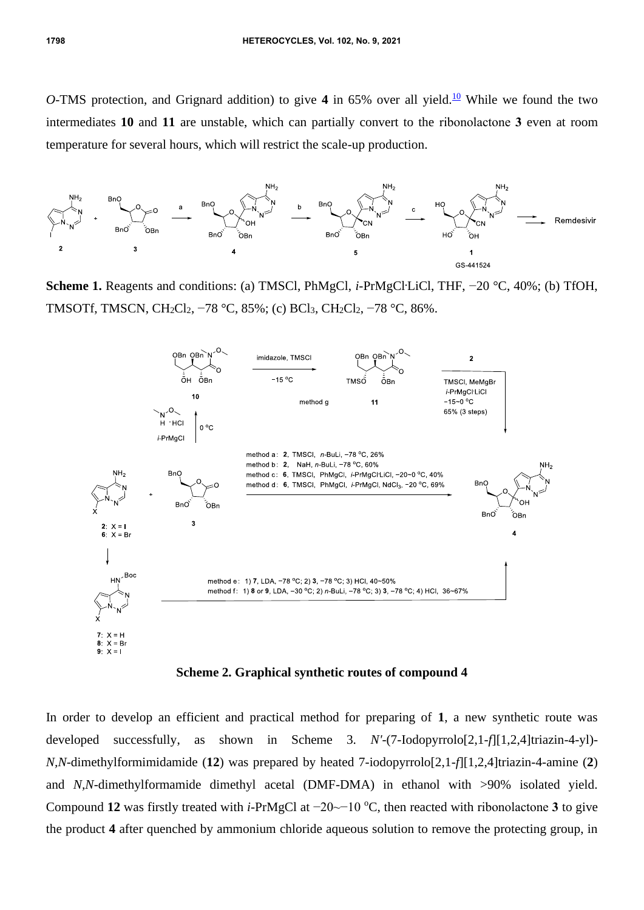*O*-TMS protection, and Grignard addition) to give 4 in 65% over all yield.<sup>[10](#page-5-7)</sup> While we found the two intermediates **10** and **11** are unstable, which can partially convert to the ribonolactone **3** even at room temperature for several hours, which will restrict the scale-up production.



Scheme 1. Reagents and conditions: (a) TMSCl, PhMgCl, *i*-PrMgCl<sup>-</sup>LiCl, THF, −20 °C, 40%; (b) TfOH, TMSOTf, TMSCN, CH<sub>2</sub>Cl<sub>2</sub>, −78 °C, 85%; (c) BCl<sub>3</sub>, CH<sub>2</sub>Cl<sub>2</sub>, −78 °C, 86%.



**Scheme 2. Graphical synthetic routes of compound 4**

In order to develop an efficient and practical method for preparing of **1**, a new synthetic route was developed successfully, as shown in Scheme 3. *N'*-(7-Iodopyrrolo[2,1-*f*][1,2,4]triazin-4-yl)- *N,N*-dimethylformimidamide (**12**) was prepared by heated 7-iodopyrrolo[2,1-*f*][1,2,4]triazin-4-amine (**2**) and *N,N*-dimethylformamide dimethyl acetal (DMF-DMA) in ethanol with >90% isolated yield. Compound 12 was firstly treated with *i*-PrMgCl at −20~−10 °C, then reacted with ribonolactone 3 to give the product **4** after quenched by ammonium chloride aqueous solution to remove the protecting group, in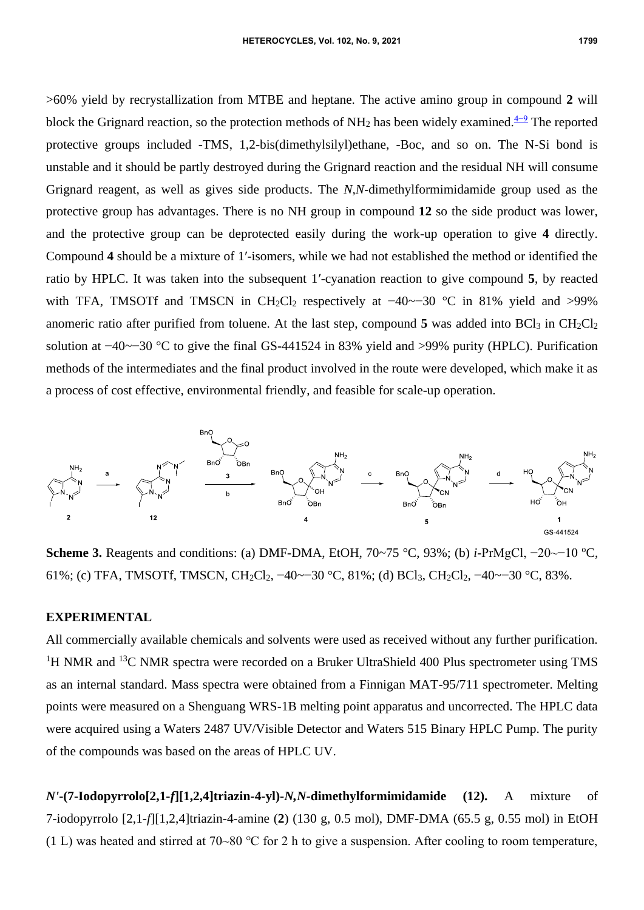>60% yield by recrystallization from MTBE and heptane. The active amino group in compound **2** will block the Grignard reaction, so the protection methods of NH<sub>2</sub> has been widely examined.<sup>[4−9](#page-5-3)</sup> The reported protective groups included -TMS, 1,2-bis(dimethylsilyl)ethane, -Boc, and so on. The N-Si bond is unstable and it should be partly destroyed during the Grignard reaction and the residual NH will consume Grignard reagent, as well as gives side products. The *N,N*-dimethylformimidamide group used as the protective group has advantages. There is no NH group in compound **12** so the side product was lower, and the protective group can be deprotected easily during the work-up operation to give **4** directly. Compound **4** should be a mixture of 1′-isomers, while we had not established the method or identified the ratio by HPLC. It was taken into the subsequent 1′-cyanation reaction to give compound **5**, by reacted with TFA, TMSOTf and TMSCN in CH<sub>2</sub>Cl<sub>2</sub> respectively at  $-40$ ~ $-30$  °C in 81% yield and >99% anomeric ratio after purified from toluene. At the last step, compound  $5$  was added into  $BCl<sub>3</sub>$  in  $CH<sub>2</sub>Cl<sub>2</sub>$ solution at −40~−30 °C to give the final GS-441524 in 83% yield and >99% purity (HPLC). Purification methods of the intermediates and the final product involved in the route were developed, which make it as a process of cost effective, environmental friendly, and feasible for scale-up operation.



Scheme 3. Reagents and conditions: (a) DMF-DMA, EtOH, 70~75 °C, 93%; (b) *i*-PrMgCl, -20~-10 °C, 61%; (c) TFA, TMSOTf, TMSCN, CH2Cl2, −40~−30 °C, 81%; (d) BCl3, CH2Cl2, −40~−30 °C, 83%.

## **EXPERIMENTAL**

All commercially available chemicals and solvents were used as received without any further purification. <sup>1</sup>H NMR and <sup>13</sup>C NMR spectra were recorded on a Bruker UltraShield 400 Plus spectrometer using TMS as an internal standard. Mass spectra were obtained from a Finnigan MAT-95/711 spectrometer. Melting points were measured on a Shenguang WRS-1B melting point apparatus and uncorrected. The HPLC data were acquired using a Waters 2487 UV/Visible Detector and Waters 515 Binary HPLC Pump. The purity of the compounds was based on the areas of HPLC UV.

*N'***-(7-Iodopyrrolo[2,1-***f***][1,2,4]triazin-4-yl)-***N,N-***dimethylformimidamide (12).** A mixture of 7-iodopyrrolo [2,1-*f*][1,2,4]triazin-4-amine (**2**) (130 g, 0.5 mol), DMF-DMA (65.5 g, 0.55 mol) in EtOH (1 L) was heated and stirred at 70~80 ℃ for 2 h to give a suspension. After cooling to room temperature,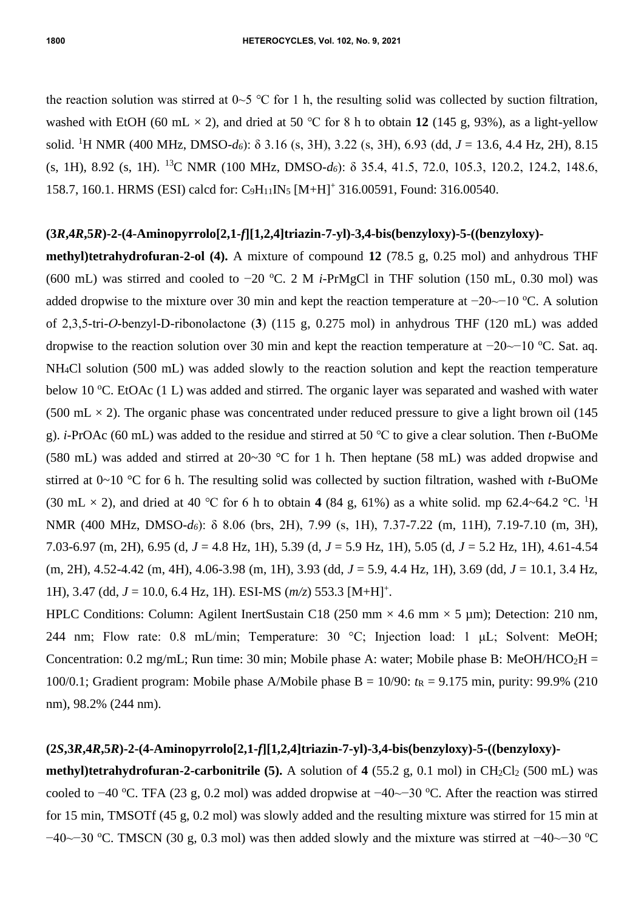the reaction solution was stirred at  $0~5$  °C for 1 h, the resulting solid was collected by suction filtration, washed with EtOH (60 mL  $\times$  2), and dried at 50 °C for 8 h to obtain 12 (145 g, 93%), as a light-yellow solid. <sup>1</sup>H NMR (400 MHz, DMSO-*d6*): δ 3.16 (s, 3H), 3.22 (s, 3H), 6.93 (dd, *J* = 13.6, 4.4 Hz, 2H), 8.15 (s, 1H), 8.92 (s, 1H). <sup>13</sup>C NMR (100 MHz, DMSO-*d6*): δ 35.4, 41.5, 72.0, 105.3, 120.2, 124.2, 148.6, 158.7, 160.1. HRMS (ESI) calcd for: C9H11IN<sup>5</sup> [M+H]<sup>+</sup> 316.00591, Found: 316.00540.

#### **(3***R***,4***R***,5***R***)-2-(4-Aminopyrrolo[2,1-***f***][1,2,4]triazin-7-yl)-3,4-bis(benzyloxy)-5-((benzyloxy)-**

**methyl)tetrahydrofuran-2-ol (4).** A mixture of compound **12** (78.5 g, 0.25 mol) and anhydrous THF (600 mL) was stirred and cooled to  $-20$  °C. 2 M *i*-PrMgCl in THF solution (150 mL, 0.30 mol) was added dropwise to the mixture over 30 min and kept the reaction temperature at −20~−10 °C. A solution of 2,3,5-tri-*O*-benzyl-D-ribonolactone (**3**) (115 g, 0.275 mol) in anhydrous THF (120 mL) was added dropwise to the reaction solution over 30 min and kept the reaction temperature at  $-20$ ~ $-10$  °C. Sat. aq. NH4Cl solution (500 mL) was added slowly to the reaction solution and kept the reaction temperature below 10  $\rm{^{\circ}C}$ . EtOAc (1 L) was added and stirred. The organic layer was separated and washed with water (500 mL  $\times$  2). The organic phase was concentrated under reduced pressure to give a light brown oil (145 g). *i*-PrOAc (60 mL) was added to the residue and stirred at 50 ℃ to give a clear solution. Then *t*-BuOMe (580 mL) was added and stirred at 20~30 °C for 1 h. Then heptane (58 mL) was added dropwise and stirred at 0~10 °C for 6 h. The resulting solid was collected by suction filtration, washed with *t*-BuOMe (30 mL  $\times$  2), and dried at 40 °C for 6 h to obtain 4 (84 g, 61%) as a white solid. mp 62.4~64.2 °C. <sup>1</sup>H NMR (400 MHz, DMSO-*d6*): δ 8.06 (brs, 2H), 7.99 (s, 1H), 7.37-7.22 (m, 11H), 7.19-7.10 (m, 3H), 7.03-6.97 (m, 2H), 6.95 (d, *J* = 4.8 Hz, 1H), 5.39 (d, *J* = 5.9 Hz, 1H), 5.05 (d, *J* = 5.2 Hz, 1H), 4.61-4.54 (m, 2H), 4.52-4.42 (m, 4H), 4.06-3.98 (m, 1H), 3.93 (dd, *J* = 5.9, 4.4 Hz, 1H), 3.69 (dd, *J* = 10.1, 3.4 Hz, 1H), 3.47 (dd, *J* = 10.0, 6.4 Hz, 1H). ESI-MS (*m/z*) 553.3 [M+H]<sup>+</sup> .

HPLC Conditions: Column: Agilent InertSustain C18 (250 mm  $\times$  4.6 mm  $\times$  5 µm); Detection: 210 nm, 244 nm; Flow rate: 0.8 mL/min; Temperature: 30 °C; Injection load: 1 μL; Solvent: MeOH; Concentration: 0.2 mg/mL; Run time: 30 min; Mobile phase A: water; Mobile phase B: MeOH/HCO<sub>2</sub>H = 100/0.1; Gradient program: Mobile phase A/Mobile phase B =  $10/90$ :  $t<sub>R</sub>$  = 9.175 min, purity: 99.9% (210) nm), 98.2% (244 nm).

# **(2***S***,3***R***,4***R***,5***R***)-2-(4-Aminopyrrolo[2,1-***f***][1,2,4]triazin-7-yl)-3,4-bis(benzyloxy)-5-((benzyloxy)-**

**methyl)tetrahydrofuran-2-carbonitrile (5).** A solution of  $4$  (55.2 g, 0.1 mol) in CH<sub>2</sub>Cl<sub>2</sub> (500 mL) was cooled to −40 °C. TFA (23 g, 0.2 mol) was added dropwise at −40  $-30$  °C. After the reaction was stirred for 15 min, TMSOTf (45 g, 0.2 mol) was slowly added and the resulting mixture was stirred for 15 min at  $-40$ ~−30 °C. TMSCN (30 g, 0.3 mol) was then added slowly and the mixture was stirred at  $-40$ ~ $-30$  °C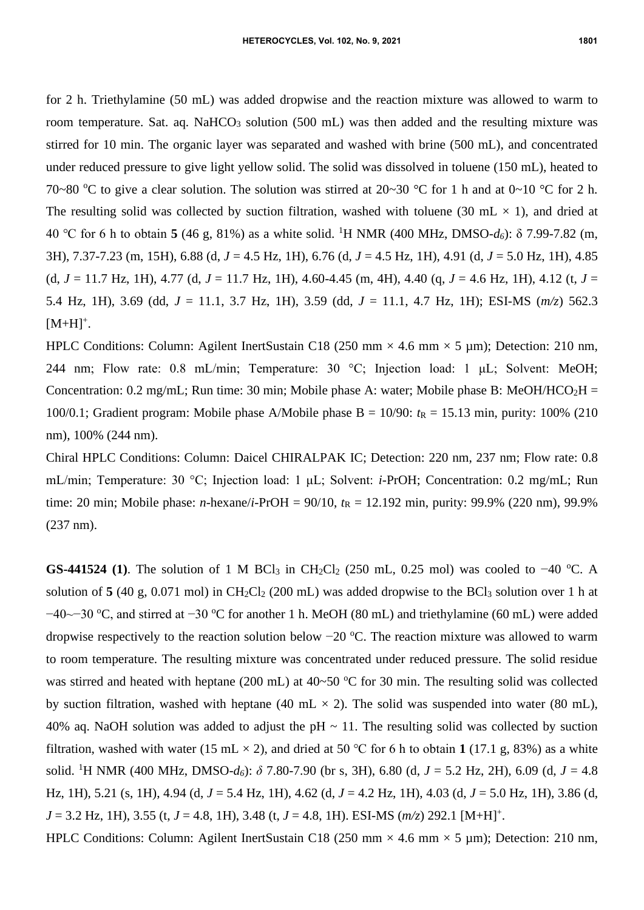for 2 h. Triethylamine (50 mL) was added dropwise and the reaction mixture was allowed to warm to room temperature. Sat. aq. NaHCO<sub>3</sub> solution (500 mL) was then added and the resulting mixture was stirred for 10 min. The organic layer was separated and washed with brine (500 mL), and concentrated under reduced pressure to give light yellow solid. The solid was dissolved in toluene (150 mL), heated to 70~80 °C to give a clear solution. The solution was stirred at 20~30 °C for 1 h and at 0~10 °C for 2 h. The resulting solid was collected by suction filtration, washed with toluene (30 mL  $\times$  1), and dried at 40 ℃ for 6 h to obtain **5** (46 g, 81%) as a white solid. <sup>1</sup>H NMR (400 MHz, DMSO-*d6*): δ 7.99-7.82 (m, 3H), 7.37-7.23 (m, 15H), 6.88 (d, *J* = 4.5 Hz, 1H), 6.76 (d, *J* = 4.5 Hz, 1H), 4.91 (d, *J* = 5.0 Hz, 1H), 4.85 (d, *J* = 11.7 Hz, 1H), 4.77 (d, *J* = 11.7 Hz, 1H), 4.60-4.45 (m, 4H), 4.40 (q, *J* = 4.6 Hz, 1H), 4.12 (t, *J* = 5.4 Hz, 1H), 3.69 (dd, *J* = 11.1, 3.7 Hz, 1H), 3.59 (dd, *J* = 11.1, 4.7 Hz, 1H); ESI-MS (*m/z*) 562.3  $[M+H]^{+}$ .

HPLC Conditions: Column: Agilent InertSustain C18 (250 mm  $\times$  4.6 mm  $\times$  5 µm); Detection: 210 nm, 244 nm; Flow rate: 0.8 mL/min; Temperature: 30 °C; Injection load: 1 μL; Solvent: MeOH; Concentration: 0.2 mg/mL; Run time: 30 min; Mobile phase A: water; Mobile phase B: MeOH/HCO<sub>2</sub>H = 100/0.1; Gradient program: Mobile phase A/Mobile phase B = 10/90:  $t<sub>R</sub>$  = 15.13 min, purity: 100% (210) nm), 100% (244 nm).

Chiral HPLC Conditions: Column: Daicel CHIRALPAK IC; Detection: 220 nm, 237 nm; Flow rate: 0.8 mL/min; Temperature: 30 °C; Injection load: 1 μL; Solvent: *i*-PrOH; Concentration: 0.2 mg/mL; Run time: 20 min; Mobile phase: *n*-hexane/*i*-PrOH = 90/10,  $t<sub>R</sub>$  = 12.192 min, purity: 99.9% (220 nm), 99.9% (237 nm).

**GS-441524** (1). The solution of 1 M BCl<sub>3</sub> in CH<sub>2</sub>Cl<sub>2</sub> (250 mL, 0.25 mol) was cooled to -40 °C. A solution of  $5(40 \text{ g}, 0.071 \text{ mol})$  in CH<sub>2</sub>Cl<sub>2</sub> (200 mL) was added dropwise to the BCl<sub>3</sub> solution over 1 h at −40~−30 °C, and stirred at −30 °C for another 1 h. MeOH (80 mL) and triethylamine (60 mL) were added dropwise respectively to the reaction solution below −20 °C. The reaction mixture was allowed to warm to room temperature. The resulting mixture was concentrated under reduced pressure. The solid residue was stirred and heated with heptane (200 mL) at  $40\neg 50^\circ$ C for 30 min. The resulting solid was collected by suction filtration, washed with heptane (40 mL  $\times$  2). The solid was suspended into water (80 mL), 40% aq. NaOH solution was added to adjust the  $pH \sim 11$ . The resulting solid was collected by suction filtration, washed with water (15 mL  $\times$  2), and dried at 50 °C for 6 h to obtain 1 (17.1 g, 83%) as a white solid. <sup>1</sup>H NMR (400 MHz, DMSO-*d6*): *δ* 7.80-7.90 (br s, 3H), 6.80 (d, *J* = 5.2 Hz, 2H), 6.09 (d, *J* = 4.8 Hz, 1H), 5.21 (s, 1H), 4.94 (d, *J* = 5.4 Hz, 1H), 4.62 (d, *J* = 4.2 Hz, 1H), 4.03 (d, *J* = 5.0 Hz, 1H), 3.86 (d,  $J = 3.2$  Hz, 1H), 3.55 (t,  $J = 4.8$ , 1H), 3.48 (t,  $J = 4.8$ , 1H). ESI-MS ( $m/z$ ) 292.1 [M+H]<sup>+</sup>.

HPLC Conditions: Column: Agilent InertSustain C18 (250 mm  $\times$  4.6 mm  $\times$  5 µm); Detection: 210 nm,